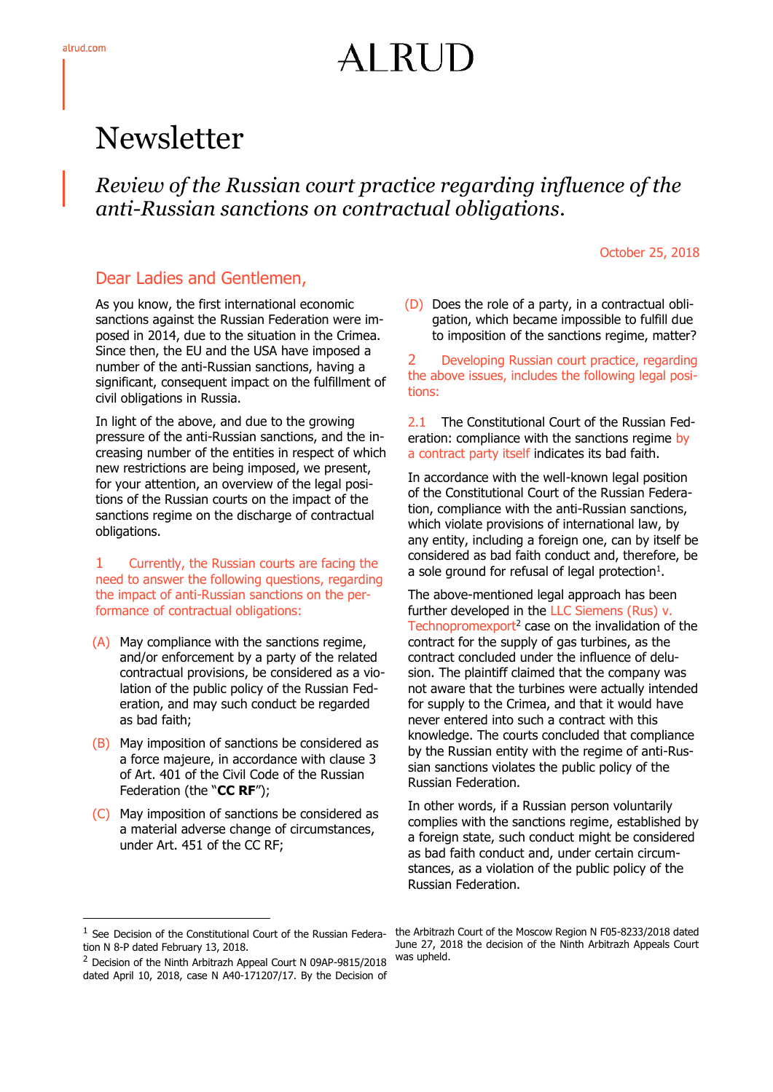# AI RUD

## Newsletter

*Review of the Russian court practice regarding influence of the anti-Russian sanctions on contractual obligations.*

#### October 25, 2018

### Dear Ladies and Gentlemen,

As you know, the first international economic sanctions against the Russian Federation were imposed in 2014, due to the situation in the Crimea. Since then, the EU and the USA have imposed a number of the anti-Russian sanctions, having a significant, consequent impact on the fulfillment of civil obligations in Russia.

In light of the above, and due to the growing pressure of the anti-Russian sanctions, and the increasing number of the entities in respect of which new restrictions are being imposed, we present, for your attention, an overview of the legal positions of the Russian courts on the impact of the sanctions regime on the discharge of contractual obligations.

1 Currently, the Russian courts are facing the need to answer the following questions, regarding the impact of anti-Russian sanctions on the performance of contractual obligations:

- (A) May compliance with the sanctions regime, and/or enforcement by a party of the related contractual provisions, be considered as a violation of the public policy of the Russian Federation, and may such conduct be regarded as bad faith;
- (B) May imposition of sanctions be considered as a force majeure, in accordance with clause 3 of Art. 401 of the Civil Code of the Russian Federation (the "**CC RF**");
- (C) May imposition of sanctions be considered as a material adverse change of circumstances, under Art. 451 of the CC RF;

(D) Does the role of a party, in a contractual obligation, which became impossible to fulfill due to imposition of the sanctions regime, matter?

2 Developing Russian court practice, regarding the above issues, includes the following legal positions:

2.1 The Constitutional Court of the Russian Federation: compliance with the sanctions regime by a contract party itself indicates its bad faith.

In accordance with the well-known legal position of the Constitutional Court of the Russian Federation, compliance with the anti-Russian sanctions, which violate provisions of international law, by any entity, including a foreign one, can by itself be considered as bad faith conduct and, therefore, be a sole ground for refusal of legal protection $<sup>1</sup>$ .</sup>

The above-mentioned legal approach has been further developed in the LLC Siemens (Rus) v. Technopromexport<sup>2</sup> case on the invalidation of the contract for the supply of gas turbines, as the contract concluded under the influence of delusion. The plaintiff claimed that the company was not aware that the turbines were actually intended for supply to the Crimea, and that it would have never entered into such a contract with this knowledge. The courts concluded that compliance by the Russian entity with the regime of anti-Russian sanctions violates the public policy of the Russian Federation.

In other words, if a Russian person voluntarily complies with the sanctions regime, established by a foreign state, such conduct might be considered as bad faith conduct and, under certain circumstances, as a violation of the public policy of the Russian Federation.

-

<sup>&</sup>lt;sup>1</sup> See Decision of the Constitutional Court of the Russian Federation N 8-P dated February 13, 2018.

<sup>&</sup>lt;sup>2</sup> Decision of the Ninth Arbitrazh Appeal Court N 09AP-9815/2018 dated April 10, 2018, case N A40-171207/17. By the Decision of

the Arbitrazh Court of the Moscow Region N F05-8233/2018 dated June 27, 2018 the decision of the Ninth Arbitrazh Appeals Court was upheld.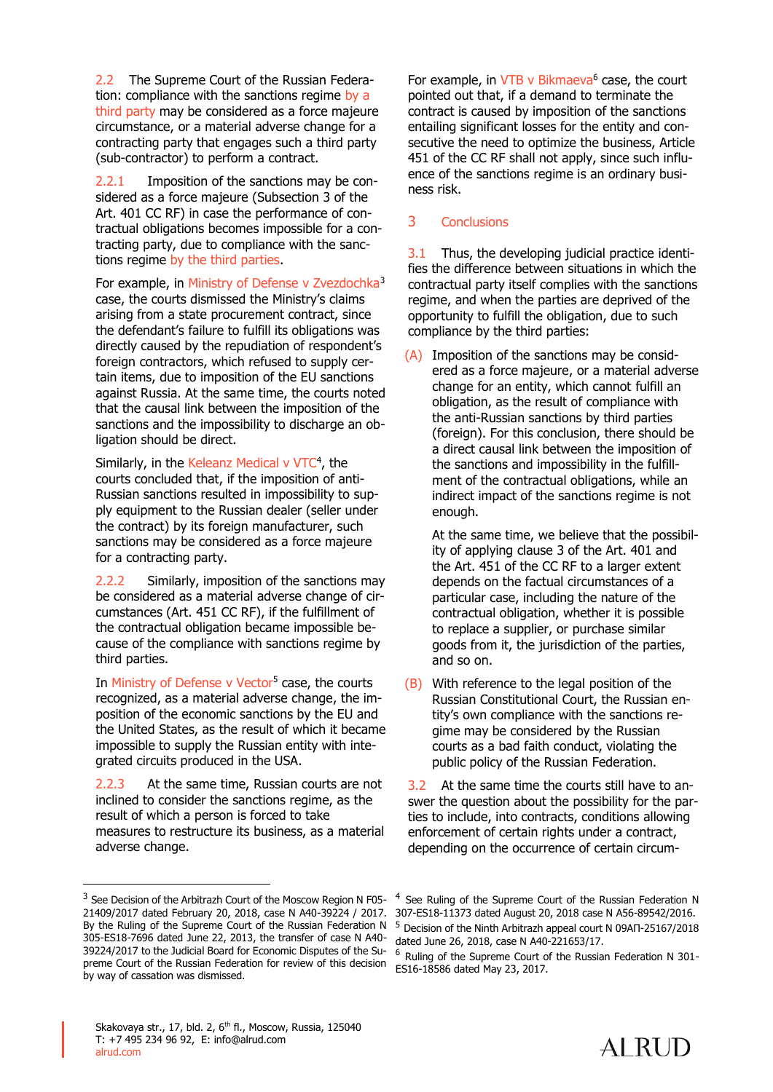2.2 The Supreme Court of the Russian Federation: compliance with the sanctions regime by a third party may be considered as a force majeure circumstance, or a material adverse change for a contracting party that engages such a third party (sub-contractor) to perform a contract.

2.2.1 Imposition of the sanctions may be considered as a force majeure (Subsection 3 of the Art. 401 CC RF) in case the performance of contractual obligations becomes impossible for a contracting party, due to compliance with the sanctions regime by the third parties.

For example, in Ministry of Defense y Zvezdochka<sup>3</sup> case, the courts dismissed the Ministry's claims arising from a state procurement contract, since the defendant's failure to fulfill its obligations was directly caused by the repudiation of respondent's foreign contractors, which refused to supply certain items, due to imposition of the EU sanctions against Russia. At the same time, the courts noted that the causal link between the imposition of the sanctions and the impossibility to discharge an obligation should be direct.

Similarly, in the Keleanz Medical v VTC<sup>4</sup>, the courts concluded that, if the imposition of anti-Russian sanctions resulted in impossibility to supply equipment to the Russian dealer (seller under the contract) by its foreign manufacturer, such sanctions may be considered as a force majeure for a contracting party.

2.2.2 Similarly, imposition of the sanctions may be considered as a material adverse change of circumstances (Art. 451 CC RF), if the fulfillment of the contractual obligation became impossible because of the compliance with sanctions regime by third parties.

In Ministry of Defense v Vector<sup>5</sup> case, the courts recognized, as a material adverse change, the imposition of the economic sanctions by the EU and the United States, as the result of which it became impossible to supply the Russian entity with integrated circuits produced in the USA.

2.2.3 At the same time, Russian courts are not inclined to consider the sanctions regime, as the result of which a person is forced to take measures to restructure its business, as a material adverse change.

-

For example, in  $VTB$  v Bikmaeva $<sup>6</sup>$  case, the court</sup> pointed out that, if a demand to terminate the contract is caused by imposition of the sanctions entailing significant losses for the entity and consecutive the need to optimize the business, Article 451 of the CC RF shall not apply, since such influence of the sanctions regime is an ordinary business risk.

#### 3 Conclusions

3.1 Thus, the developing judicial practice identifies the difference between situations in which the contractual party itself complies with the sanctions regime, and when the parties are deprived of the opportunity to fulfill the obligation, due to such compliance by the third parties:

(A) Imposition of the sanctions may be considered as a force majeure, or a material adverse change for an entity, which cannot fulfill an obligation, as the result of compliance with the anti-Russian sanctions by third parties (foreign). For this conclusion, there should be a direct causal link between the imposition of the sanctions and impossibility in the fulfillment of the contractual obligations, while an indirect impact of the sanctions regime is not enough.

At the same time, we believe that the possibility of applying clause 3 of the Art. 401 and the Art. 451 of the CC RF to a larger extent depends on the factual circumstances of a particular case, including the nature of the contractual obligation, whether it is possible to replace a supplier, or purchase similar goods from it, the jurisdiction of the parties, and so on.

(B) With reference to the legal position of the Russian Constitutional Court, the Russian entity's own compliance with the sanctions regime may be considered by the Russian courts as a bad faith conduct, violating the public policy of the Russian Federation.

3.2 At the same time the courts still have to answer the question about the possibility for the parties to include, into contracts, conditions allowing enforcement of certain rights under a contract, depending on the occurrence of certain circum-



<sup>&</sup>lt;sup>3</sup> See Decision of the Arbitrazh Court of the Moscow Region N F05-21409/2017 dated February 20, 2018, case N A40-39224 / 2017. By the Ruling of the Supreme Court of the Russian Federation N 305-ES18-7696 dated June 22, 2013, the transfer of case N A40- 39224/2017 to the Judicial Board for Economic Disputes of the Supreme Court of the Russian Federation for review of this decision by way of cassation was dismissed.

<sup>4</sup> See Ruling of the Supreme Court of the Russian Federation N 307-ES18-11373 dated August 20, 2018 case N А56-89542/2016. <sup>5</sup> Decision of the Ninth Arbitrazh appeal court N 09АП-25167/2018 dated June 26, 2018, case N А40-221653/17.

Ruling of the Supreme Court of the Russian Federation N 301-ES16-18586 dated May 23, 2017.